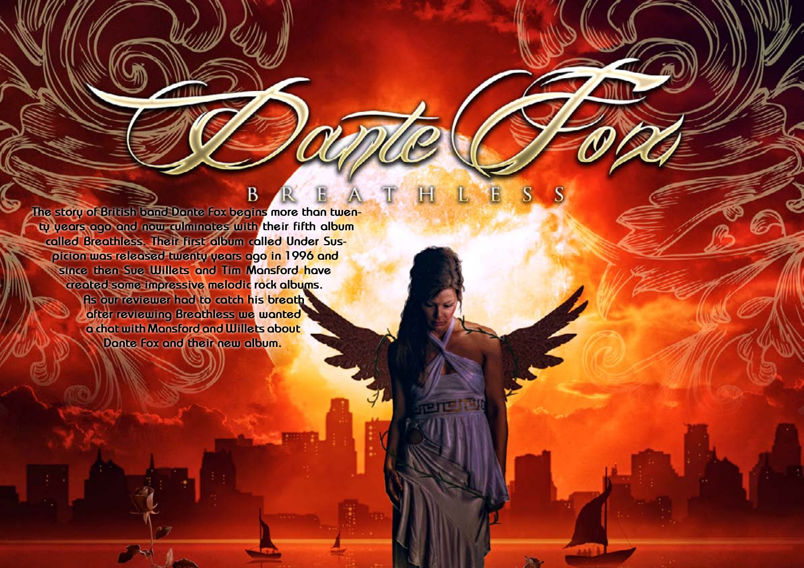**The story of British band Dante Fox begins more than twenty years ago and now culminates with their fifth album called Breathless. Their first album called Under Suspicion was released twenty years ago in 1996 and since then Sue Willets and Tim Mansford have created some impressive melodic rock albums. As our reviewer had to catch his breath after reviewing Breathless we wanted a chat with Mansford and Willets about Dante Fox and their new album.**

B

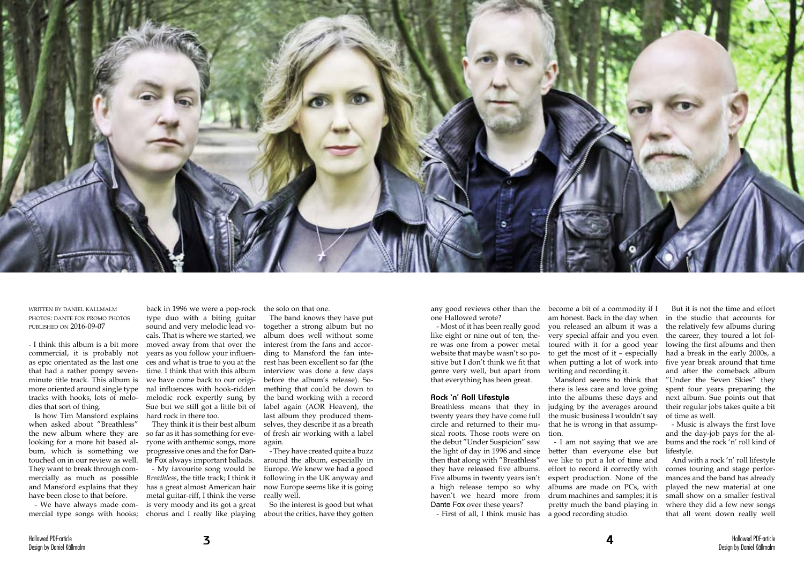

written by daniel källmalm photos: dante fox promo photos published on 2016-09-07

- I think this album is a bit more commercial, it is probably not as epic orientated as the last one that had a rather pompy sevenminute title track. This album is more oriented around single type tracks with hooks, lots of melodies that sort of thing.

Is how Tim Mansford explains when asked about "Breathless" the new album where they are looking for a more hit based album, which is something we touched on in our review as well. They want to break through commercially as much as possible and Mansford explains that they have been close to that before.

- We have always made commercial type songs with hooks;

back in 1996 we were a pop-rock type duo with a biting guitar sound and very melodic lead vocals. That is where we started, we moved away from that over the years as you follow your influences and what is true to you at the time. I think that with this album we have come back to our original influences with hook-ridden melodic rock expertly sung by Sue but we still got a little bit of hard rock in there too.

They think it is their best album so far as it has something for everyone with anthemic songs, more progressive ones and the for Dante Fox always important ballads.

- My favourite song would be *Breathless*, the title track; I think it has a great almost American hair metal guitar-riff, I think the verse is very moody and its got a great chorus and I really like playing

the solo on that one.

The band knows they have put together a strong album but no album does well without some interest from the fans and according to Mansford the fan interest has been excellent so far (the interview was done a few days before the album's release). Something that could be down to the band working with a record label again (AOR Heaven), the last album they produced themselves, they describe it as a breath of fresh air working with a label again.

- They have created quite a buzz around the album, especially in Europe. We knew we had a good following in the UK anyway and now Europe seems like it is going really well.

So the interest is good but what about the critics, have they gotten

any good reviews other than the one Hallowed wrote?

- Most of it has been really good like eight or nine out of ten, there was one from a power metal website that maybe wasn't so positive but I don't think we fit that genre very well, but apart from that everything has been great.

## **Rock 'n' Roll Lifestyle**

Breathless means that they in twenty years they have come full circle and returned to their musical roots. Those roots were on the debut "Under Suspicion" saw the light of day in 1996 and since better than everyone else but then that along with "Breathless" they have released five albums. Five albums in twenty years isn't a high release tempo so why haven't we heard more from Dante Fox over these years?

- First of all, I think music has

become a bit of a commodity if I am honest. Back in the day when you released an album it was a very special affair and you even toured with it for a good year to get the most of it – especially when putting a lot of work into writing and recording it.

Mansford seems to think that there is less care and love going into the albums these days and judging by the averages around the music business I wouldn't say that he is wrong in that assumption.

- I am not saying that we are we like to put a lot of time and effort to record it correctly with expert production. None of the albums are made on PCs, with drum machines and samples; it is pretty much the band playing in a good recording studio.

But it is not the time and effort in the studio that accounts for the relatively few albums during the career, they toured a lot following the first albums and then had a break in the early 2000s, a five year break around that time and after the comeback album "Under the Seven Skies" they spent four years preparing the next album. Sue points out that their regular jobs takes quite a bit of time as well.

- Music is always the first love and the day-job pays for the albums and the rock 'n' roll kind of lifestyle.

And with a rock 'n' roll lifestyle comes touring and stage performances and the band has already played the new material at one small show on a smaller festival where they did a few new songs that all went down really well